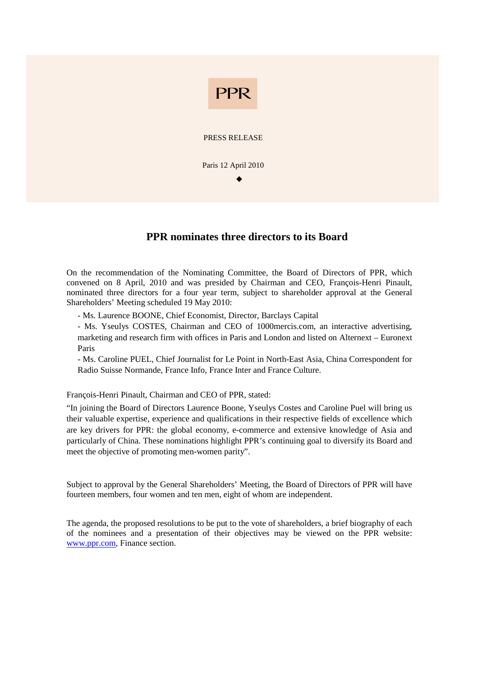

## **PPR nominates three directors to its Board**

On the recommendation of the Nominating Committee, the Board of Directors of PPR, which convened on 8 April, 2010 and was presided by Chairman and CEO, François-Henri Pinault, nominated three directors for a four year term, subject to shareholder approval at the General Shareholders' Meeting scheduled 19 May 2010:

- Ms. Laurence BOONE, Chief Economist, Director, Barclays Capital

- Ms. Yseulys COSTES, Chairman and CEO of 1000mercis.com, an interactive advertising, marketing and research firm with offices in Paris and London and listed on Alternext – Euronext Paris

- Ms. Caroline PUEL, Chief Journalist for Le Point in North-East Asia, China Correspondent for Radio Suisse Normande, France Info, France Inter and France Culture.

François-Henri Pinault, Chairman and CEO of PPR, stated:

"In joining the Board of Directors Laurence Boone, Yseulys Costes and Caroline Puel will bring us their valuable expertise, experience and qualifications in their respective fields of excellence which are key drivers for PPR: the global economy, e-commerce and extensive knowledge of Asia and particularly of China. These nominations highlight PPR's continuing goal to diversify its Board and meet the objective of promoting men-women parity".

Subject to approval by the General Shareholders' Meeting, the Board of Directors of PPR will have fourteen members, four women and ten men, eight of whom are independent.

The agenda, the proposed resolutions to be put to the vote of shareholders, a brief biography of each of the nominees and a presentation of their objectives may be viewed on the PPR website: www.ppr.com, Finance section.